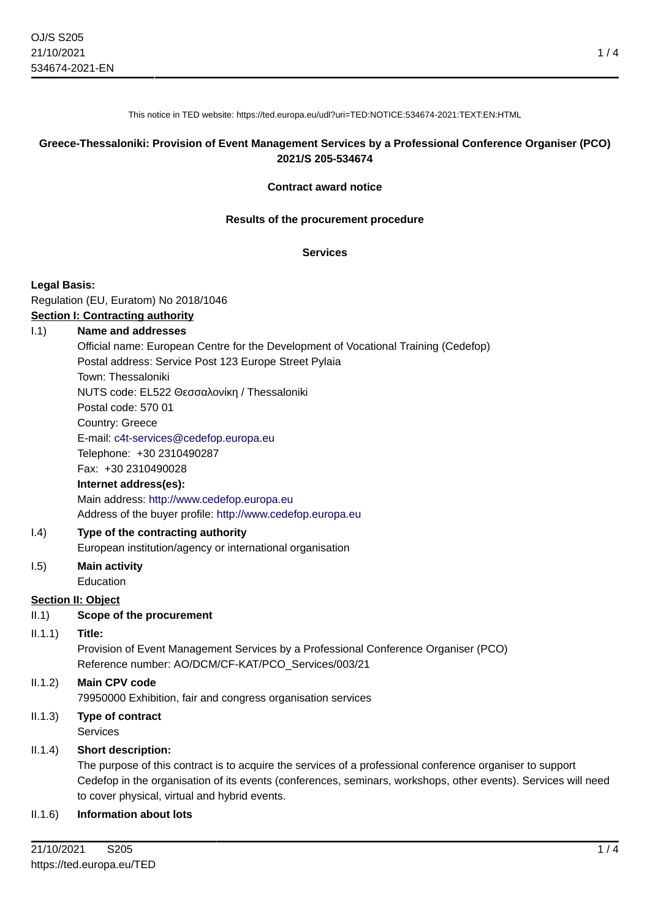This notice in TED website: https://ted.europa.eu/udl?uri=TED:NOTICE:534674-2021:TEXT:EN:HTML

### **Greece-Thessaloniki: Provision of Event Management Services by a Professional Conference Organiser (PCO) 2021/S 205-534674**

#### **Contract award notice**

#### **Results of the procurement procedure**

#### **Services**

#### **Legal Basis:**

Regulation (EU, Euratom) No 2018/1046 **Section I: Contracting authority**

### I.1) **Name and addresses**

Official name: European Centre for the Development of Vocational Training (Cedefop) Postal address: Service Post 123 Europe Street Pylaia Town: Thessaloniki

NUTS code: EL522 Θεσσαλονίκη / Thessaloniki

Postal code: 570 01

Country: Greece

E-mail: [c4t-services@cedefop.europa.eu](mailto:c4t-services@cedefop.europa.eu)

Telephone: +30 2310490287

Fax: +30 2310490028

#### **Internet address(es):**

Main address:<http://www.cedefop.europa.eu> Address of the buyer profile: <http://www.cedefop.europa.eu>

### I.4) **Type of the contracting authority**

European institution/agency or international organisation

#### I.5) **Main activity** Education

### **Section II: Object**

- II.1) **Scope of the procurement**
- II.1.1) **Title:**

Provision of Event Management Services by a Professional Conference Organiser (PCO) Reference number: AO/DCM/CF-KAT/PCO\_Services/003/21

### II.1.2) **Main CPV code**

79950000 Exhibition, fair and congress organisation services

II.1.3) **Type of contract** Services

### II.1.4) **Short description:**

The purpose of this contract is to acquire the services of a professional conference organiser to support Cedefop in the organisation of its events (conferences, seminars, workshops, other events). Services will need to cover physical, virtual and hybrid events.

### II.1.6) **Information about lots**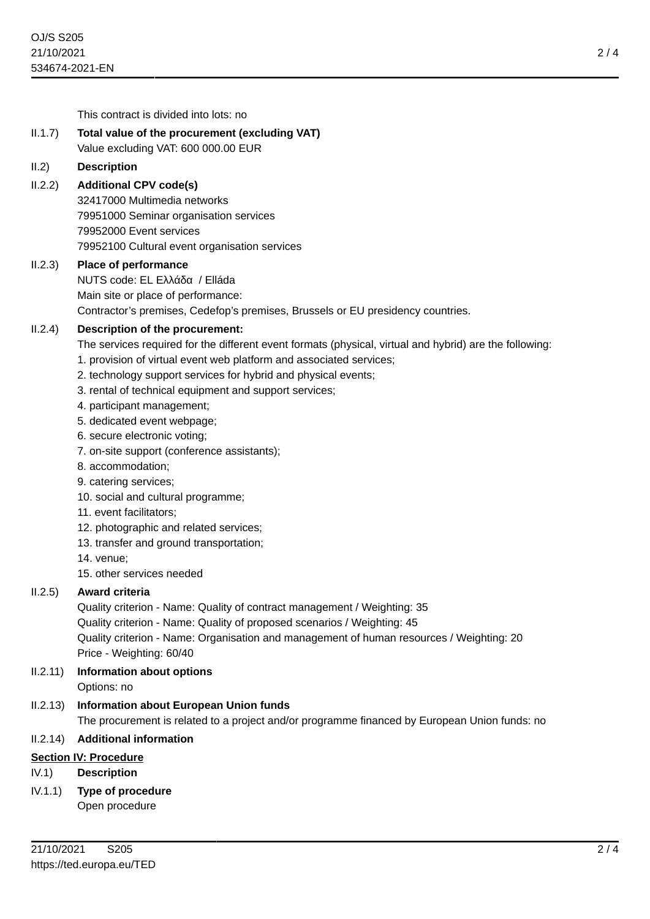This contract is divided into lots: no

## II.1.7) **Total value of the procurement (excluding VAT)**

Value excluding VAT: 600 000.00 EUR

### II.2) **Description**

## II.2.2) **Additional CPV code(s)**

32417000 Multimedia networks 79951000 Seminar organisation services 79952000 Event services 79952100 Cultural event organisation services

### II.2.3) **Place of performance**

NUTS code: EL Ελλάδα / Elláda Main site or place of performance: Contractor's premises, Cedefop's premises, Brussels or EU presidency countries.

## II.2.4) **Description of the procurement:**

The services required for the different event formats (physical, virtual and hybrid) are the following:

- 1. provision of virtual event web platform and associated services;
- 2. technology support services for hybrid and physical events;
- 3. rental of technical equipment and support services;
- 4. participant management;
- 5. dedicated event webpage;
- 6. secure electronic voting;
- 7. on-site support (conference assistants);
- 8. accommodation;
- 9. catering services;
- 10. social and cultural programme;
- 11. event facilitators;
- 12. photographic and related services;
- 13. transfer and ground transportation;
- 14. venue;
- 15. other services needed

## II.2.5) **Award criteria**

Quality criterion - Name: Quality of contract management / Weighting: 35 Quality criterion - Name: Quality of proposed scenarios / Weighting: 45 Quality criterion - Name: Organisation and management of human resources / Weighting: 20 Price - Weighting: 60/40

II.2.11) **Information about options**

Options: no

## II.2.13) **Information about European Union funds**

The procurement is related to a project and/or programme financed by European Union funds: no

## II.2.14) **Additional information**

### **Section IV: Procedure**

- IV.1) **Description**
- IV.1.1) **Type of procedure**

Open procedure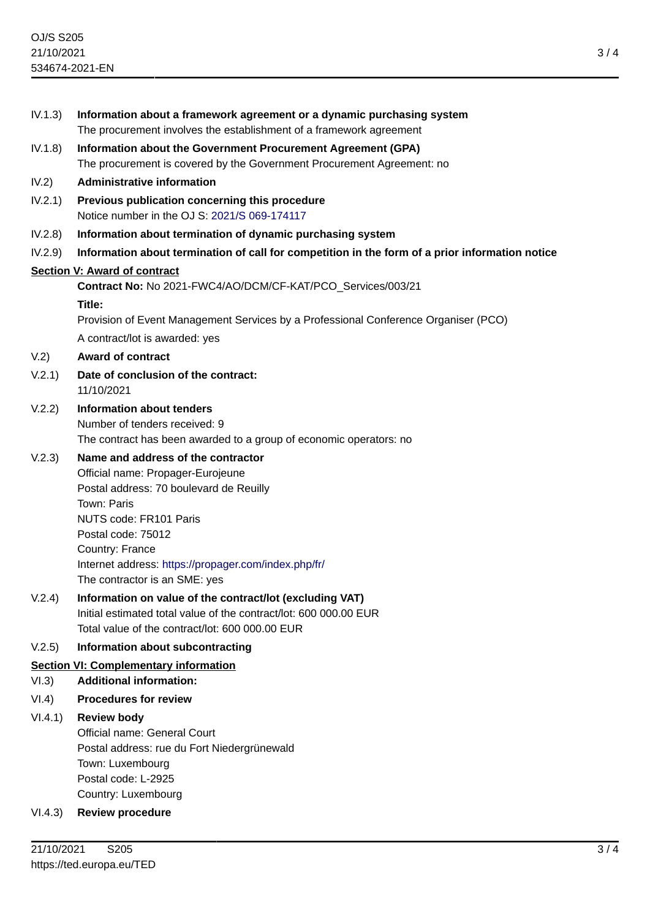| IV.1.3) | Information about a framework agreement or a dynamic purchasing system<br>The procurement involves the establishment of a framework agreement                                    |
|---------|----------------------------------------------------------------------------------------------------------------------------------------------------------------------------------|
| IV.1.8) | Information about the Government Procurement Agreement (GPA)<br>The procurement is covered by the Government Procurement Agreement: no                                           |
| IV.2)   | <b>Administrative information</b>                                                                                                                                                |
| IV.2.1) | Previous publication concerning this procedure<br>Notice number in the OJ S: 2021/S 069-174117                                                                                   |
| IV.2.8) | Information about termination of dynamic purchasing system                                                                                                                       |
| IV.2.9) | Information about termination of call for competition in the form of a prior information notice                                                                                  |
|         | <b>Section V: Award of contract</b>                                                                                                                                              |
|         | Contract No: No 2021-FWC4/AO/DCM/CF-KAT/PCO_Services/003/21                                                                                                                      |
|         | Title:                                                                                                                                                                           |
|         | Provision of Event Management Services by a Professional Conference Organiser (PCO)                                                                                              |
|         | A contract/lot is awarded: yes                                                                                                                                                   |
| V.2)    | <b>Award of contract</b>                                                                                                                                                         |
| V.2.1)  | Date of conclusion of the contract:<br>11/10/2021                                                                                                                                |
| V.2.2)  | <b>Information about tenders</b>                                                                                                                                                 |
|         | Number of tenders received: 9<br>The contract has been awarded to a group of economic operators: no                                                                              |
| V.2.3)  | Name and address of the contractor<br>Official name: Propager-Eurojeune<br>Postal address: 70 boulevard de Reuilly<br>Town: Paris                                                |
|         | NUTS code: FR101 Paris<br>Postal code: 75012                                                                                                                                     |
|         | Country: France<br>Internet address: https://propager.com/index.php/fr/<br>The contractor is an SME: yes                                                                         |
| V.2.4)  | Information on value of the contract/lot (excluding VAT)<br>Initial estimated total value of the contract/lot: 600 000.00 EUR<br>Total value of the contract/lot: 600 000.00 EUR |
| V.2.5)  | Information about subcontracting                                                                                                                                                 |
|         | <b>Section VI: Complementary information</b>                                                                                                                                     |
| VI.3)   | <b>Additional information:</b>                                                                                                                                                   |
| VI.4)   | <b>Procedures for review</b>                                                                                                                                                     |
| VI.4.1) | <b>Review body</b>                                                                                                                                                               |
|         | Official name: General Court                                                                                                                                                     |
|         | Postal address: rue du Fort Niedergrünewald                                                                                                                                      |
|         | Town: Luxembourg<br>Postal code: L-2925                                                                                                                                          |
|         | Country: Luxembourg                                                                                                                                                              |
| VI.4.3) | <b>Review procedure</b>                                                                                                                                                          |
|         |                                                                                                                                                                                  |
|         |                                                                                                                                                                                  |